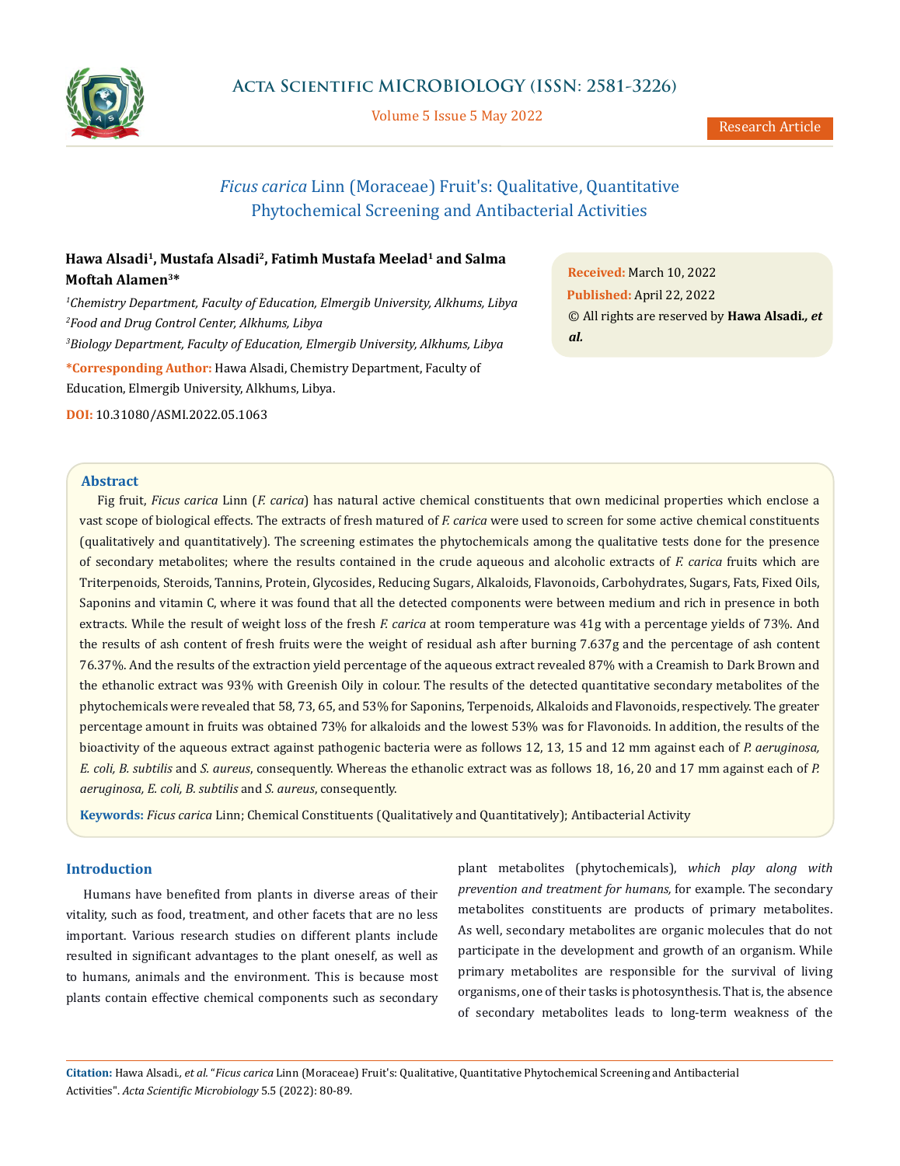

Volume 5 Issue 5 May 2022

Research Article

# *Ficus carica* Linn (Moraceae) Fruit's: Qualitative, Quantitative Phytochemical Screening and Antibacterial Activities

## **Hawa Alsadi1, Mustafa Alsadi2, Fatimh Mustafa Meelad1 and Salma Moftah Alamen3\***

*1 Chemistry Department, Faculty of Education, Elmergib University, Alkhums, Libya 2 Food and Drug Control Center, Alkhums, Libya 3 Biology Department, Faculty of Education, Elmergib University, Alkhums, Libya* **\*Corresponding Author:** Hawa Alsadi, Chemistry Department, Faculty of Education, Elmergib University, Alkhums, Libya.

**DOI:** [10.31080/ASMI.2022.05.1063](http:// actascientific.com/ASMI/pdf/ASMI-05-1063.pdf)

**Abstract**

Fig fruit, *Ficus carica* Linn (*F. carica*) has natural active chemical constituents that own medicinal properties which enclose a vast scope of biological effects. The extracts of fresh matured of *F. carica* were used to screen for some active chemical constituents (qualitatively and quantitatively). The screening estimates the phytochemicals among the qualitative tests done for the presence of secondary metabolites; where the results contained in the crude aqueous and alcoholic extracts of *F. carica* fruits which are Triterpenoids, Steroids, Tannins, Protein, Glycosides, Reducing Sugars, Alkaloids, Flavonoids, Carbohydrates, Sugars, Fats, Fixed Oils, Saponins and vitamin C, where it was found that all the detected components were between medium and rich in presence in both extracts. While the result of weight loss of the fresh *F. carica* at room temperature was 41g with a percentage yields of 73%. And the results of ash content of fresh fruits were the weight of residual ash after burning 7.637g and the percentage of ash content 76.37%. And the results of the extraction yield percentage of the aqueous extract revealed 87% with a Creamish to Dark Brown and the ethanolic extract was 93% with Greenish Oily in colour. The results of the detected quantitative secondary metabolites of the phytochemicals were revealed that 58, 73, 65, and 53% for Saponins, Terpenoids, Alkaloids and Flavonoids, respectively. The greater percentage amount in fruits was obtained 73% for alkaloids and the lowest 53% was for Flavonoids. In addition, the results of the bioactivity of the aqueous extract against pathogenic bacteria were as follows 12, 13, 15 and 12 mm against each of *P. aeruginosa, E. coli, B. subtilis* and *S. aureus*, consequently. Whereas the ethanolic extract was as follows 18, 16, 20 and 17 mm against each of *P. aeruginosa, E. coli, B. subtilis* and *S. aureus*, consequently.

**Keywords:** *Ficus carica* Linn; Chemical Constituents (Qualitatively and Quantitatively); Antibacterial Activity

## **Introduction**

Humans have benefited from plants in diverse areas of their vitality, such as food, treatment, and other facets that are no less important. Various research studies on different plants include resulted in significant advantages to the plant oneself, as well as to humans, animals and the environment. This is because most plants contain effective chemical components such as secondary plant metabolites (phytochemicals), *which play along with prevention and treatment for humans,* for example. The secondary metabolites constituents are products of primary metabolites. As well, secondary metabolites are organic molecules that do not participate in the development and growth of an organism. While primary metabolites are responsible for the survival of living organisms, one of their tasks is photosynthesis. That is, the absence of secondary metabolites leads to long-term weakness of the

**Citation:** Hawa Alsadi*., et al.* "*Ficus carica* Linn (Moraceae) Fruit's: Qualitative, Quantitative Phytochemical Screening and Antibacterial Activities". *Acta Scientific Microbiology* 5.5 (2022): 80-89.

**Received:** March 10, 2022 **Published:** April 22, 2022 © All rights are reserved by **Hawa Alsadi***., et al.*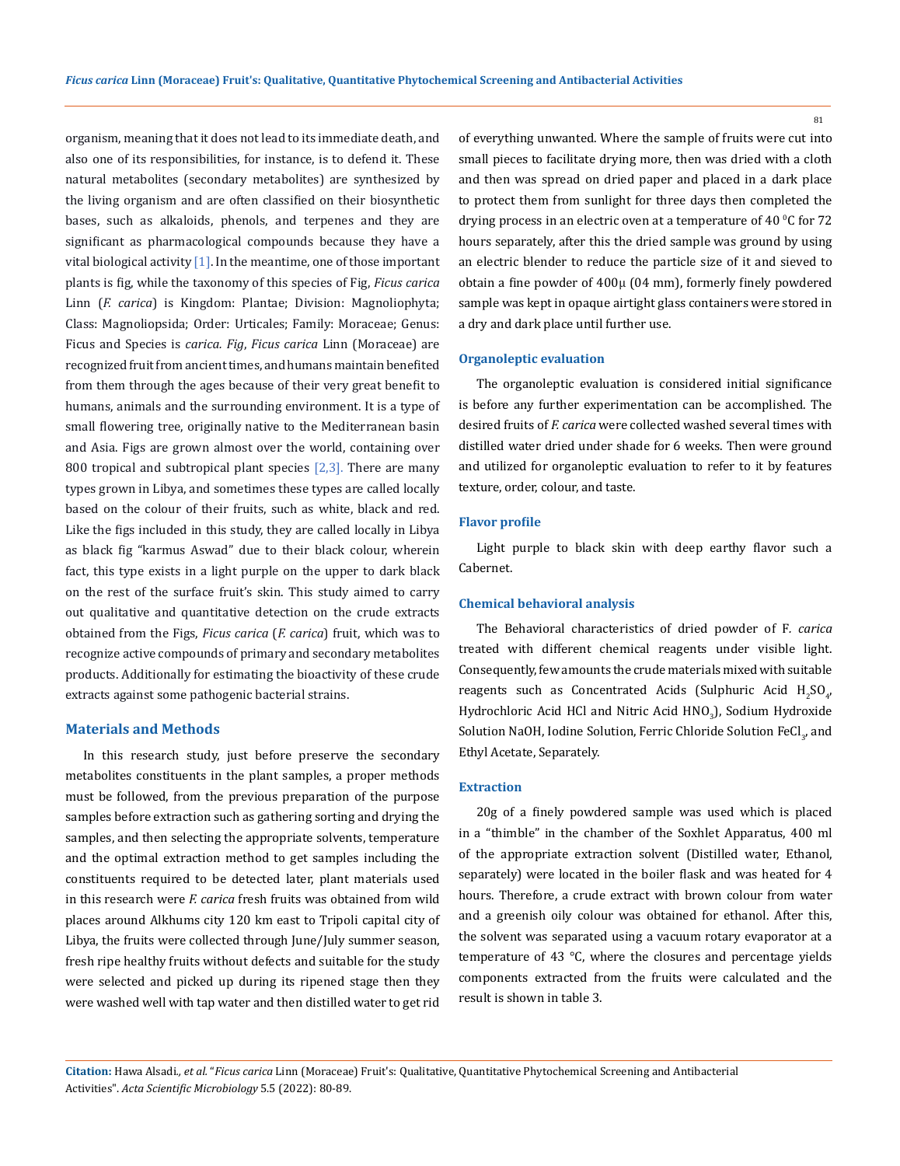organism, meaning that it does not lead to its immediate death, and also one of its responsibilities, for instance, is to defend it. These natural metabolites (secondary metabolites) are synthesized by the living organism and are often classified on their biosynthetic bases, such as alkaloids, phenols, and terpenes and they are significant as pharmacological compounds because they have a vital biological activity  $[1]$ . In the meantime, one of those important plants is fig, while the taxonomy of this species of Fig, *Ficus carica* Linn (*F. carica*) is Kingdom: Plantae; Division: Magnoliophyta; Class: Magnoliopsida; Order: Urticales; Family: Moraceae; Genus: Ficus and Species is *carica. Fig*, *Ficus carica* Linn (Moraceae) are recognized fruit from ancient times, and humans maintain benefited from them through the ages because of their very great benefit to humans, animals and the surrounding environment. It is a type of small flowering tree, originally native to the Mediterranean basin and Asia. Figs are grown almost over the world, containing over 800 tropical and subtropical plant species  $[2,3]$ . There are many types grown in Libya, and sometimes these types are called locally based on the colour of their fruits, such as white, black and red. Like the figs included in this study, they are called locally in Libya as black fig "karmus Aswad" due to their black colour, wherein fact, this type exists in a light purple on the upper to dark black on the rest of the surface fruit's skin. This study aimed to carry out qualitative and quantitative detection on the crude extracts obtained from the Figs, *Ficus carica* (*F. carica*) fruit, which was to recognize active compounds of primary and secondary metabolites products. Additionally for estimating the bioactivity of these crude extracts against some pathogenic bacterial strains.

### **Materials and Methods**

In this research study, just before preserve the secondary metabolites constituents in the plant samples, a proper methods must be followed, from the previous preparation of the purpose samples before extraction such as gathering sorting and drying the samples, and then selecting the appropriate solvents, temperature and the optimal extraction method to get samples including the constituents required to be detected later, plant materials used in this research were *F. carica* fresh fruits was obtained from wild places around Alkhums city 120 km east to Tripoli capital city of Libya, the fruits were collected through June/July summer season, fresh ripe healthy fruits without defects and suitable for the study were selected and picked up during its ripened stage then they were washed well with tap water and then distilled water to get rid

of everything unwanted. Where the sample of fruits were cut into small pieces to facilitate drying more, then was dried with a cloth and then was spread on dried paper and placed in a dark place to protect them from sunlight for three days then completed the drying process in an electric oven at a temperature of 40  $^{\rm o}$ C for 72  $^{\rm o}$ hours separately, after this the dried sample was ground by using an electric blender to reduce the particle size of it and sieved to obtain a fine powder of 400μ (04 mm), formerly finely powdered sample was kept in opaque airtight glass containers were stored in a dry and dark place until further use.

### **Organoleptic evaluation**

The organoleptic evaluation is considered initial significance is before any further experimentation can be accomplished. The desired fruits of *F. carica* were collected washed several times with distilled water dried under shade for 6 weeks. Then were ground and utilized for organoleptic evaluation to refer to it by features texture, order, colour, and taste.

### **Flavor profile**

Light purple to black skin with deep earthy flavor such a Cabernet.

### **Chemical behavioral analysis**

The Behavioral characteristics of dried powder of F*. carica* treated with different chemical reagents under visible light. Consequently, few amounts the crude materials mixed with suitable reagents such as Concentrated Acids (Sulphuric Acid  $H_2SO_{4'}$ , Hydrochloric Acid HCl and Nitric Acid HNO<sub>3</sub>), Sodium Hydroxide Solution NaOH, Iodine Solution, Ferric Chloride Solution FeCl $_3$ , and Ethyl Acetate, Separately.

### **Extraction**

20g of a finely powdered sample was used which is placed in a "thimble" in the chamber of the Soxhlet Apparatus, 400 ml of the appropriate extraction solvent (Distilled water, Ethanol, separately) were located in the boiler flask and was heated for 4 hours. Therefore, a crude extract with brown colour from water and a greenish oily colour was obtained for ethanol. After this, the solvent was separated using a vacuum rotary evaporator at a temperature of 43 °C, where the closures and percentage yields components extracted from the fruits were calculated and the result is shown in table 3.

**Citation:** Hawa Alsadi*., et al.* "*Ficus carica* Linn (Moraceae) Fruit's: Qualitative, Quantitative Phytochemical Screening and Antibacterial Activities". *Acta Scientific Microbiology* 5.5 (2022): 80-89.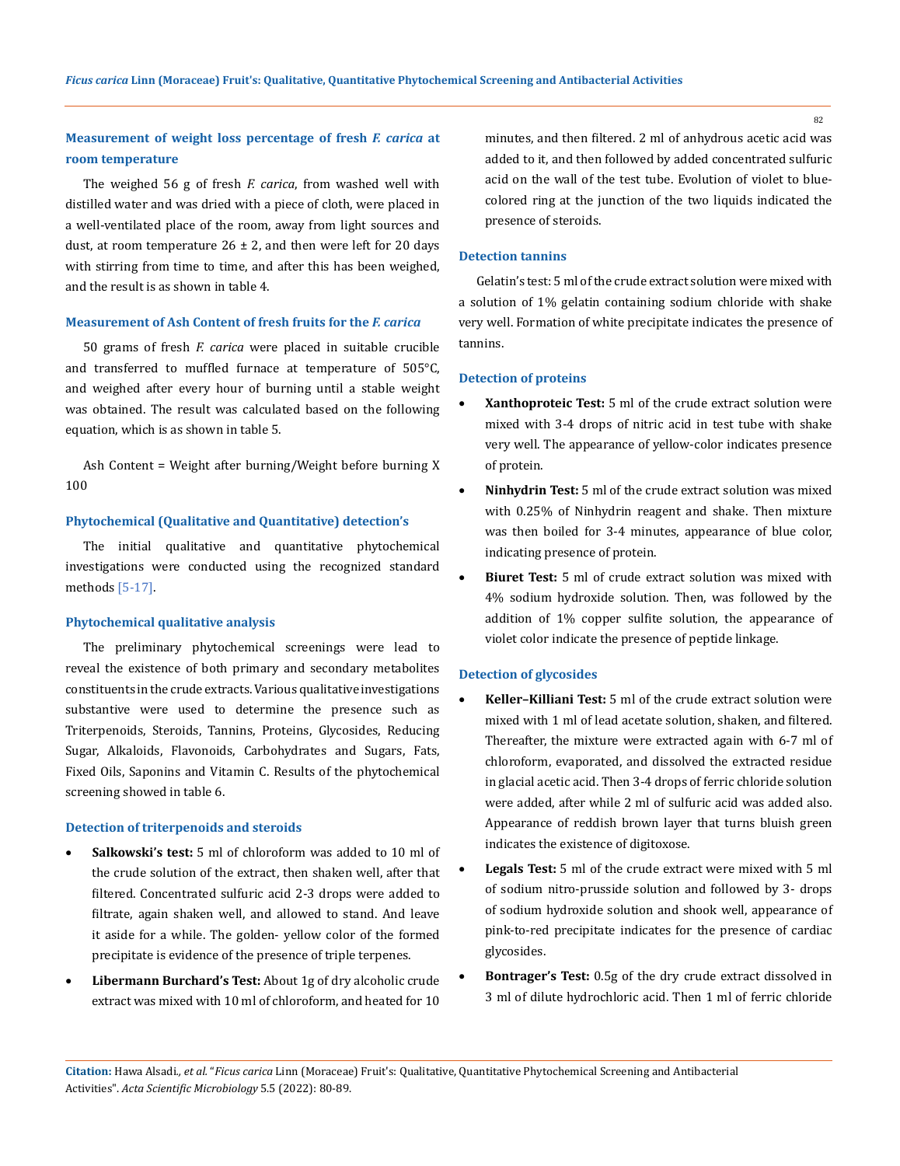## **Measurement of weight loss percentage of fresh** *F. carica* **at room temperature**

The weighed 56 g of fresh *F. carica*, from washed well with distilled water and was dried with a piece of cloth, were placed in a well-ventilated place of the room, away from light sources and dust, at room temperature  $26 \pm 2$ , and then were left for 20 days with stirring from time to time, and after this has been weighed, and the result is as shown in table 4.

### **Measurement of Ash Content of fresh fruits for the** *F. carica*

50 grams of fresh *F. carica* were placed in suitable crucible and transferred to muffled furnace at temperature of 505°C, and weighed after every hour of burning until a stable weight was obtained. The result was calculated based on the following equation, which is as shown in table 5.

Ash Content = Weight after burning/Weight before burning X 100

### **Phytochemical (Qualitative and Quantitative) detection's**

The initial qualitative and quantitative phytochemical investigations were conducted using the recognized standard methods [5-17].

### **Phytochemical qualitative analysis**

The preliminary phytochemical screenings were lead to reveal the existence of both primary and secondary metabolites constituents in the crude extracts. Various qualitative investigations substantive were used to determine the presence such as Triterpenoids, Steroids, Tannins, Proteins, Glycosides, Reducing Sugar, Alkaloids, Flavonoids, Carbohydrates and Sugars, Fats, Fixed Oils, Saponins and Vitamin C. Results of the phytochemical screening showed in table 6.

#### **Detection of triterpenoids and steroids**

- Salkowski's test: 5 ml of chloroform was added to 10 ml of the crude solution of the extract, then shaken well, after that filtered. Concentrated sulfuric acid 2-3 drops were added to filtrate, again shaken well, and allowed to stand. And leave it aside for a while. The golden- yellow color of the formed precipitate is evidence of the presence of triple terpenes.
- Libermann Burchard's Test: About 1g of dry alcoholic crude extract was mixed with 10 ml of chloroform, and heated for 10

minutes, and then filtered. 2 ml of anhydrous acetic acid was added to it, and then followed by added concentrated sulfuric acid on the wall of the test tube. Evolution of violet to bluecolored ring at the junction of the two liquids indicated the presence of steroids.

#### **Detection tannins**

Gelatin's test: 5 ml of the crude extract solution were mixed with a solution of 1% gelatin containing sodium chloride with shake very well. Formation of white precipitate indicates the presence of tannins.

### **Detection of proteins**

- **Xanthoproteic Test:** 5 ml of the crude extract solution were mixed with 3-4 drops of nitric acid in test tube with shake very well. The appearance of yellow-color indicates presence of protein.
- • **Ninhydrin Test:** 5 ml of the crude extract solution was mixed with 0.25% of Ninhydrin reagent and shake. Then mixture was then boiled for 3-4 minutes, appearance of blue color, indicating presence of protein.
- **Biuret Test:** 5 ml of crude extract solution was mixed with 4% sodium hydroxide solution. Then, was followed by the addition of 1% copper sulfite solution, the appearance of violet color indicate the presence of peptide linkage.

#### **Detection of glycosides**

- **Keller-Killiani Test:** 5 ml of the crude extract solution were mixed with 1 ml of lead acetate solution, shaken, and filtered. Thereafter, the mixture were extracted again with 6-7 ml of chloroform, evaporated, and dissolved the extracted residue in glacial acetic acid. Then 3-4 drops of ferric chloride solution were added, after while 2 ml of sulfuric acid was added also. Appearance of reddish brown layer that turns bluish green indicates the existence of digitoxose.
- **Legals Test:** 5 ml of the crude extract were mixed with 5 ml of sodium nitro-prusside solution and followed by 3- drops of sodium hydroxide solution and shook well, appearance of pink-to-red precipitate indicates for the presence of cardiac glycosides.
- Bontrager's Test: 0.5g of the dry crude extract dissolved in 3 ml of dilute hydrochloric acid. Then 1 ml of ferric chloride

**Citation:** Hawa Alsadi*., et al.* "*Ficus carica* Linn (Moraceae) Fruit's: Qualitative, Quantitative Phytochemical Screening and Antibacterial Activities". *Acta Scientific Microbiology* 5.5 (2022): 80-89.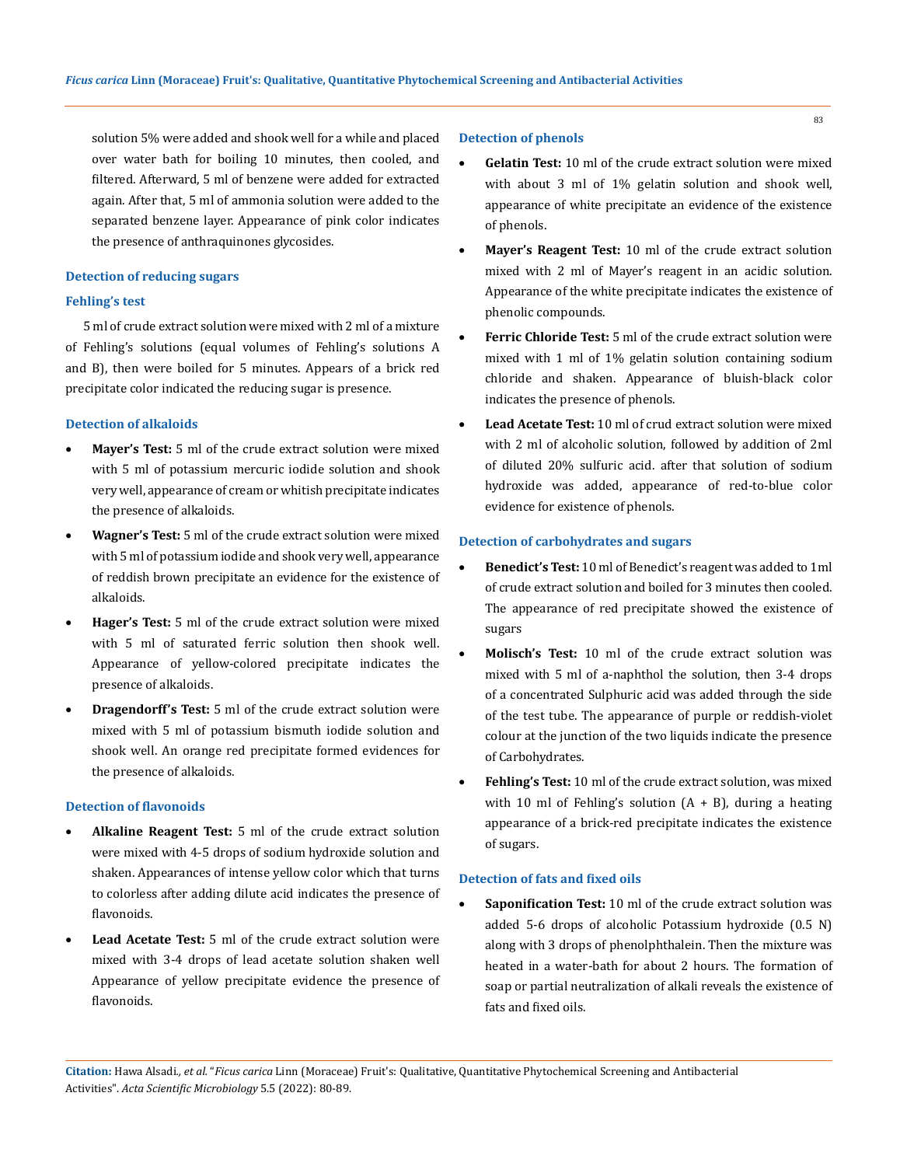solution 5% were added and shook well for a while and placed over water bath for boiling 10 minutes, then cooled, and filtered. Afterward, 5 ml of benzene were added for extracted again. After that, 5 ml of ammonia solution were added to the separated benzene layer. Appearance of pink color indicates the presence of anthraquinones glycosides.

### **Detection of reducing sugars**

## **Fehling's test**

5 ml of crude extract solution were mixed with 2 ml of a mixture of Fehling's solutions (equal volumes of Fehling's solutions A and B), then were boiled for 5 minutes. Appears of a brick red precipitate color indicated the reducing sugar is presence.

### **Detection of alkaloids**

- • **Mayer's Test:** 5 ml of the crude extract solution were mixed with 5 ml of potassium mercuric iodide solution and shook very well, appearance of cream or whitish precipitate indicates the presence of alkaloids.
- • **Wagner's Test:** 5 ml of the crude extract solution were mixed with 5 ml of potassium iodide and shook very well, appearance of reddish brown precipitate an evidence for the existence of alkaloids.
- **Hager's Test:** 5 ml of the crude extract solution were mixed with 5 ml of saturated ferric solution then shook well. Appearance of yellow-colored precipitate indicates the presence of alkaloids.
- • **Dragendorff's Test:** 5 ml of the crude extract solution were mixed with 5 ml of potassium bismuth iodide solution and shook well. An orange red precipitate formed evidences for the presence of alkaloids.

#### **Detection of flavonoids**

- • **Alkaline Reagent Test:** 5 ml of the crude extract solution were mixed with 4-5 drops of sodium hydroxide solution and shaken. Appearances of intense yellow color which that turns to colorless after adding dilute acid indicates the presence of flavonoids.
- • **Lead Acetate Test:** 5 ml of the crude extract solution were mixed with 3-4 drops of lead acetate solution shaken well Appearance of yellow precipitate evidence the presence of flavonoids.

### **Detection of phenols**

- **Gelatin Test:** 10 ml of the crude extract solution were mixed with about 3 ml of 1% gelatin solution and shook well, appearance of white precipitate an evidence of the existence of phenols.
- Mayer's Reagent Test: 10 ml of the crude extract solution mixed with 2 ml of Mayer's reagent in an acidic solution. Appearance of the white precipitate indicates the existence of phenolic compounds.
- **Ferric Chloride Test:** 5 ml of the crude extract solution were mixed with 1 ml of 1% gelatin solution containing sodium chloride and shaken. Appearance of bluish-black color indicates the presence of phenols.
- **Lead Acetate Test:** 10 ml of crud extract solution were mixed with 2 ml of alcoholic solution, followed by addition of 2ml of diluted 20% sulfuric acid. after that solution of sodium hydroxide was added, appearance of red-to-blue color evidence for existence of phenols.

### **Detection of carbohydrates and sugars**

- **Benedict's Test:** 10 ml of Benedict's reagent was added to 1ml of crude extract solution and boiled for 3 minutes then cooled. The appearance of red precipitate showed the existence of sugars
- **Molisch's Test:** 10 ml of the crude extract solution was mixed with 5 ml of a-naphthol the solution, then 3-4 drops of a concentrated Sulphuric acid was added through the side of the test tube. The appearance of purple or reddish-violet colour at the junction of the two liquids indicate the presence of Carbohydrates.
- Fehling's Test: 10 ml of the crude extract solution, was mixed with 10 ml of Fehling's solution  $(A + B)$ , during a heating appearance of a brick-red precipitate indicates the existence of sugars.

### **Detection of fats and fixed oils**

• **Saponification Test:** 10 ml of the crude extract solution was added 5-6 drops of alcoholic Potassium hydroxide (0.5 N) along with 3 drops of phenolphthalein. Then the mixture was heated in a water-bath for about 2 hours. The formation of soap or partial neutralization of alkali reveals the existence of fats and fixed oils.

**Citation:** Hawa Alsadi*., et al.* "*Ficus carica* Linn (Moraceae) Fruit's: Qualitative, Quantitative Phytochemical Screening and Antibacterial Activities". *Acta Scientific Microbiology* 5.5 (2022): 80-89.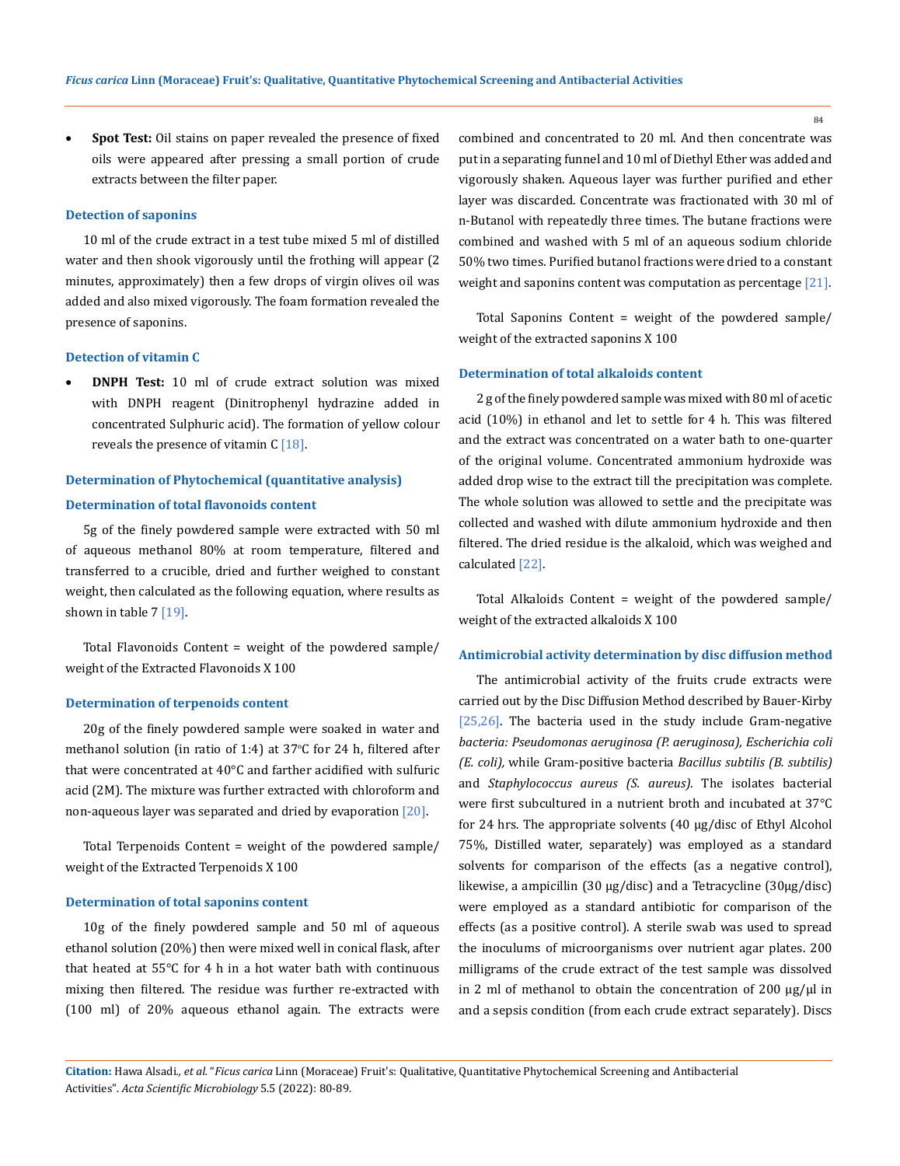**Spot Test:** Oil stains on paper revealed the presence of fixed oils were appeared after pressing a small portion of crude extracts between the filter paper.

#### **Detection of saponins**

10 ml of the crude extract in a test tube mixed 5 ml of distilled water and then shook vigorously until the frothing will appear (2 minutes, approximately) then a few drops of virgin olives oil was added and also mixed vigorously. The foam formation revealed the presence of saponins.

### **Detection of vitamin C**

**DNPH Test:** 10 ml of crude extract solution was mixed with DNPH reagent (Dinitrophenyl hydrazine added in concentrated Sulphuric acid). The formation of yellow colour reveals the presence of vitamin C [18].

## **Determination of Phytochemical (quantitative analysis) Determination of total flavonoids content**

5g of the finely powdered sample were extracted with 50 ml of aqueous methanol 80% at room temperature, filtered and transferred to a crucible, dried and further weighed to constant weight, then calculated as the following equation, where results as shown in table  $7 \, [19]$ .

Total Flavonoids Content = weight of the powdered sample/ weight of the Extracted Flavonoids X 100

### **Determination of terpenoids content**

20g of the finely powdered sample were soaked in water and methanol solution (in ratio of 1:4) at  $37^{\circ}$ C for 24 h, filtered after that were concentrated at 40°C and farther acidified with sulfuric acid (2M). The mixture was further extracted with chloroform and non-aqueous layer was separated and dried by evaporation  $\lceil 20 \rceil$ .

Total Terpenoids Content = weight of the powdered sample/ weight of the Extracted Terpenoids X 100

### **Determination of total saponins content**

10g of the finely powdered sample and 50 ml of aqueous ethanol solution (20%) then were mixed well in conical flask, after that heated at 55°C for 4 h in a hot water bath with continuous mixing then filtered. The residue was further re-extracted with (100 ml) of 20% aqueous ethanol again. The extracts were combined and concentrated to 20 ml. And then concentrate was put in a separating funnel and 10 ml of Diethyl Ether was added and vigorously shaken. Aqueous layer was further purified and ether layer was discarded. Concentrate was fractionated with 30 ml of n-Butanol with repeatedly three times. The butane fractions were combined and washed with 5 ml of an aqueous sodium chloride 50% two times. Purified butanol fractions were dried to a constant weight and saponins content was computation as percentage [21].

Total Saponins Content = weight of the powdered sample/ weight of the extracted saponins X 100

### **Determination of total alkaloids content**

2 g of the finely powdered sample was mixed with 80 ml of acetic acid (10%) in ethanol and let to settle for 4 h. This was filtered and the extract was concentrated on a water bath to one-quarter of the original volume. Concentrated ammonium hydroxide was added drop wise to the extract till the precipitation was complete. The whole solution was allowed to settle and the precipitate was collected and washed with dilute ammonium hydroxide and then filtered. The dried residue is the alkaloid, which was weighed and calculated [22].

Total Alkaloids Content = weight of the powdered sample/ weight of the extracted alkaloids X 100

### **Antimicrobial activity determination by disc diffusion method**

The antimicrobial activity of the fruits crude extracts were carried out by the Disc Diffusion Method described by Bauer-Kirby [25,26]. The bacteria used in the study include Gram-negative *bacteria: Pseudomonas aeruginosa (P. aeruginosa), Escherichia coli (E. coli),* while Gram-positive bacteria *Bacillus subtilis (B. subtilis)*  and *Staphylococcus aureus (S. aureus).* The isolates bacterial were first subcultured in a nutrient broth and incubated at 37°C for 24 hrs. The appropriate solvents (40 µg/disc of Ethyl Alcohol 75%, Distilled water, separately) was employed as a standard solvents for comparison of the effects (as a negative control), likewise, a ampicillin (30 µg/disc) and a Tetracycline (30µg/disc) were employed as a standard antibiotic for comparison of the effects (as a positive control). A sterile swab was used to spread the inoculums of microorganisms over nutrient agar plates. 200 milligrams of the crude extract of the test sample was dissolved in 2 ml of methanol to obtain the concentration of 200 μg/μl in and a sepsis condition (from each crude extract separately). Discs

**Citation:** Hawa Alsadi*., et al.* "*Ficus carica* Linn (Moraceae) Fruit's: Qualitative, Quantitative Phytochemical Screening and Antibacterial Activities". *Acta Scientific Microbiology* 5.5 (2022): 80-89.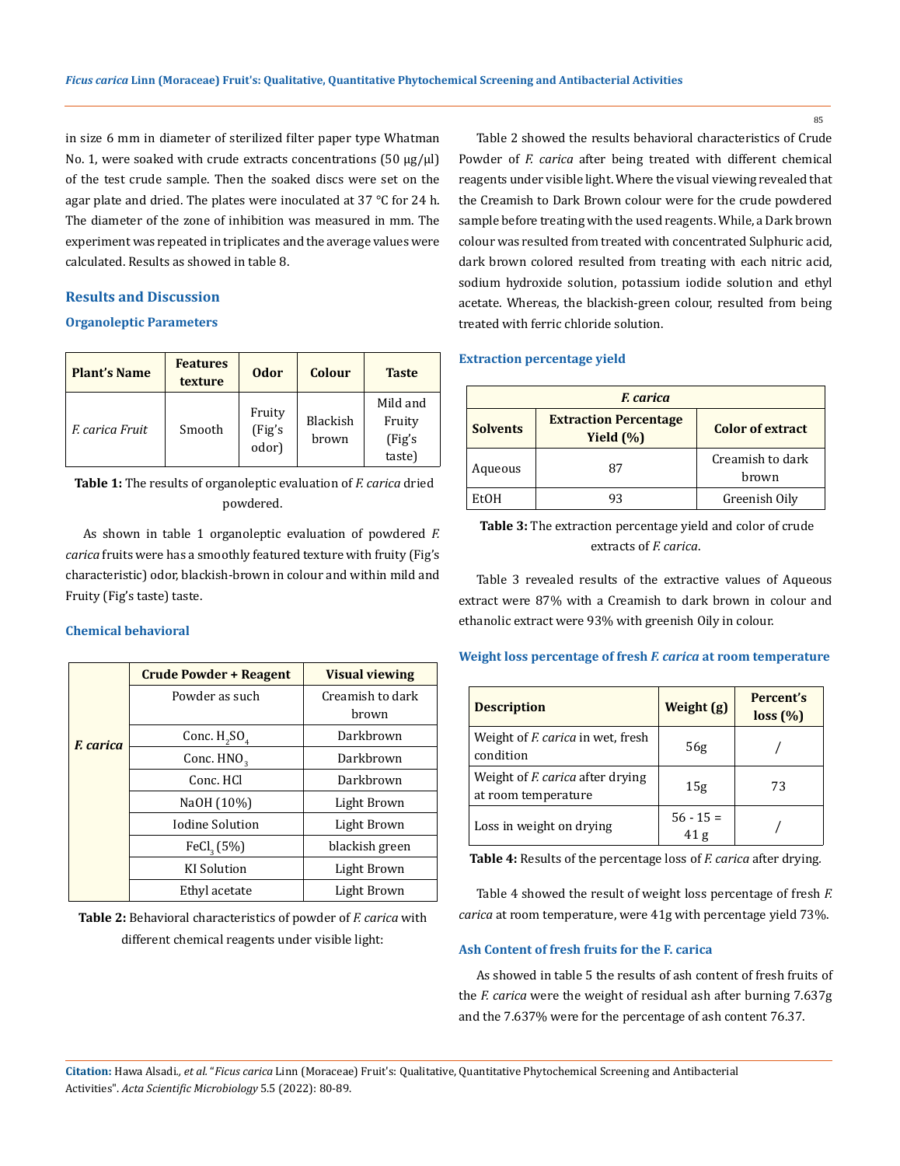in size 6 mm in diameter of sterilized filter paper type Whatman No. 1, were soaked with crude extracts concentrations (50 μg/μl) of the test crude sample. Then the soaked discs were set on the agar plate and dried. The plates were inoculated at 37 °C for 24 h. The diameter of the zone of inhibition was measured in mm. The experiment was repeated in triplicates and the average values were calculated. Results as showed in table 8.

## **Results and Discussion**

### **Organoleptic Parameters**

| <b>Plant's Name</b> | <b>Features</b><br>texture | <b>Odor</b>               | <b>Colour</b>     | <b>Taste</b>                            |
|---------------------|----------------------------|---------------------------|-------------------|-----------------------------------------|
| F. carica Fruit     | Smooth                     | Fruity<br>(Fig's<br>odor) | Blackish<br>brown | Mild and<br>Fruity<br>(Fig's)<br>taste) |

**Table 1:** The results of organoleptic evaluation of *F. carica* dried powdered.

As shown in table 1 organoleptic evaluation of powdered *F. carica* fruits were has a smoothly featured texture with fruity (Fig's characteristic) odor, blackish-brown in colour and within mild and Fruity (Fig's taste) taste.

## **Chemical behavioral**

|                  | <b>Crude Powder + Reagent</b> | <b>Visual viewing</b> |
|------------------|-------------------------------|-----------------------|
|                  | Powder as such                | Creamish to dark      |
|                  |                               | brown                 |
| <b>F.</b> carica | Darkbrown<br>Conc. $H_2SO_4$  |                       |
|                  | Conc. HNO <sub>2</sub>        | Darkbrown             |
|                  | Conc. HCl                     | Darkbrown             |
|                  | NaOH (10%)                    | Light Brown           |
|                  | <b>Iodine Solution</b>        | Light Brown           |
|                  | FeCl <sub>3</sub> (5%)        | blackish green        |
|                  | <b>KI</b> Solution            | Light Brown           |
|                  | Ethyl acetate                 | Light Brown           |

**Table 2:** Behavioral characteristics of powder of *F. carica* with different chemical reagents under visible light:

Table 2 showed the results behavioral characteristics of Crude Powder of *F. carica* after being treated with different chemical reagents under visible light. Where the visual viewing revealed that the Creamish to Dark Brown colour were for the crude powdered sample before treating with the used reagents. While, a Dark brown colour was resulted from treated with concentrated Sulphuric acid, dark brown colored resulted from treating with each nitric acid, sodium hydroxide solution, potassium iodide solution and ethyl acetate. Whereas, the blackish-green colour, resulted from being treated with ferric chloride solution.

### **Extraction percentage yield**

| <i><b>F.</b> carica</i>                                         |    |                           |  |
|-----------------------------------------------------------------|----|---------------------------|--|
| <b>Extraction Percentage</b><br><b>Solvents</b><br>Yield $(\%)$ |    | <b>Color of extract</b>   |  |
| Aqueous                                                         | 87 | Creamish to dark<br>brown |  |
| EtOH                                                            |    | Greenish Oily             |  |

## **Table 3:** The extraction percentage yield and color of crude extracts of *F. carica*.

Table 3 revealed results of the extractive values of Aqueous extract were 87% with a Creamish to dark brown in colour and ethanolic extract were 93% with greenish Oily in colour.

## **Weight loss percentage of fresh** *F. carica* **at room temperature**

| <b>Description</b>                                             | Weight (g)                     | Percent's<br>loss (%) |
|----------------------------------------------------------------|--------------------------------|-----------------------|
| Weight of <i>F. carica</i> in wet, fresh<br>condition          | 56g                            |                       |
| Weight of <i>F. carica</i> after drying<br>at room temperature | 15g                            | 73                    |
| Loss in weight on drying                                       | $56 - 15 =$<br>41 <sub>g</sub> |                       |

**Table 4:** Results of the percentage loss of *F. carica* after drying*.*

Table 4 showed the result of weight loss percentage of fresh *F. carica* at room temperature, were 41g with percentage yield 73%.

## **Ash Content of fresh fruits for the F. carica**

As showed in table 5 the results of ash content of fresh fruits of the *F. carica* were the weight of residual ash after burning 7.637g and the 7.637% were for the percentage of ash content 76.37.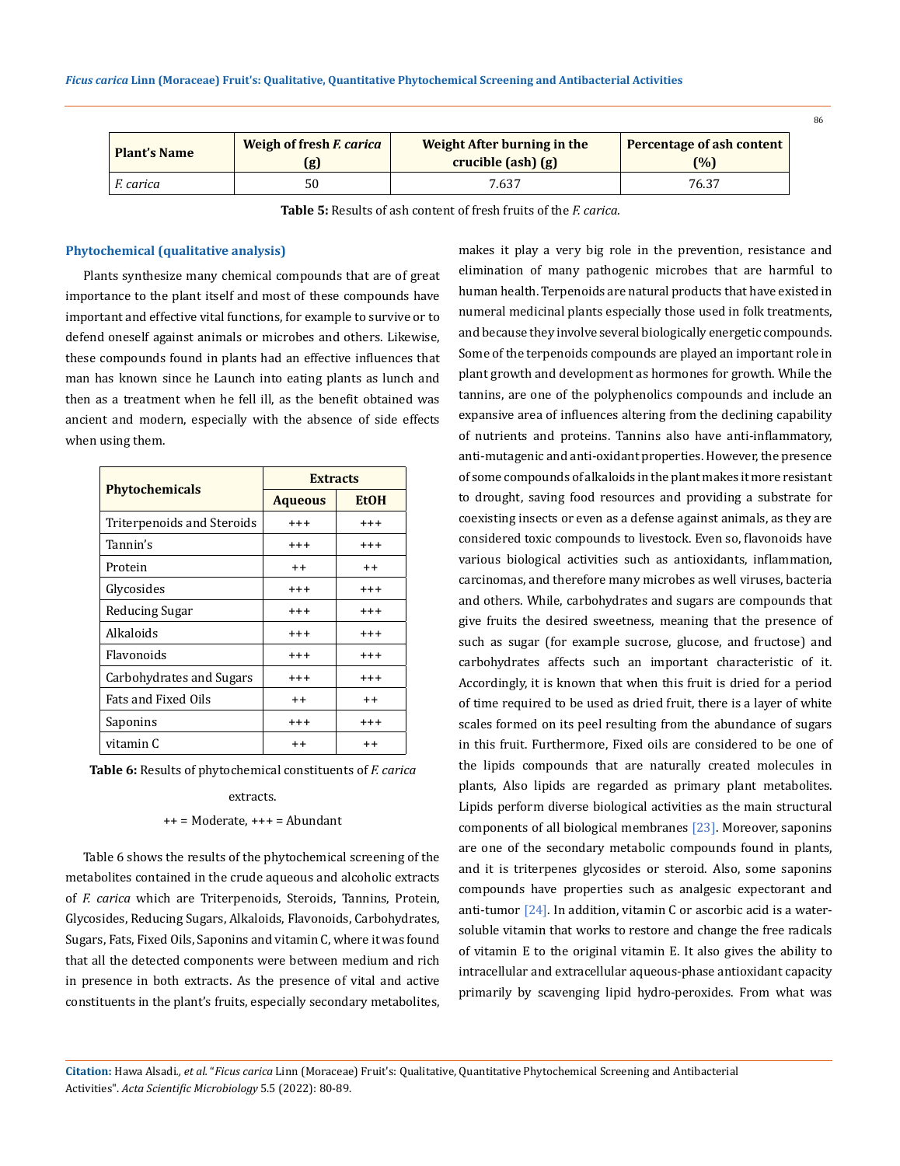| <b>Plant's Name</b> | Weigh of fresh <i>F. carica</i> | Weight After burning in the | Percentage of ash content |
|---------------------|---------------------------------|-----------------------------|---------------------------|
|                     | (g)                             | $crucible (ash) (g)$        | (%)                       |
| F. carica           | 50                              | 7.637                       | 76.37                     |

**Table 5:** Results of ash content of fresh fruits of the *F. carica.*

### **Phytochemical (qualitative analysis)**

Plants synthesize many chemical compounds that are of great importance to the plant itself and most of these compounds have important and effective vital functions, for example to survive or to defend oneself against animals or microbes and others. Likewise, these compounds found in plants had an effective influences that man has known since he Launch into eating plants as lunch and then as a treatment when he fell ill, as the benefit obtained was ancient and modern, especially with the absence of side effects when using them.

|                            | <b>Extracts</b>   |                   |  |
|----------------------------|-------------------|-------------------|--|
| <b>Phytochemicals</b>      | <b>Aqueous</b>    | <b>EtOH</b>       |  |
| Triterpenoids and Steroids | $^{++}$           | $^{+++}$          |  |
| Tannin's                   | $^{++}$           | $^{+++}$          |  |
| Protein                    | $^{++}$           | $^{++}$           |  |
| Glycosides                 | $^{++}$           | $^{+++}$          |  |
| Reducing Sugar             | $^{\mathrm{+++}}$ | $^{+++}$          |  |
| Alkaloids                  | $^{\mathrm{+++}}$ | $^{\mathrm{+++}}$ |  |
| Flavonoids                 | $^{++}$           | $^{+++}$          |  |
| Carbohydrates and Sugars   | $^{\mathrm{+++}}$ | $^{\mathrm{+++}}$ |  |
| Fats and Fixed Oils        | $^{\mathrm{+}}$   | $^{++}$           |  |
| Saponins                   | $^{++}$           | $^{+++}$          |  |
| vitamin C                  | $^{\mathrm{+}}$   | $^{\mathrm{+}}$   |  |

**Table 6:** Results of phytochemical constituents of *F. carica* 

## extracts.

### $++$  = Moderate,  $++$  = Abundant

Table 6 shows the results of the phytochemical screening of the metabolites contained in the crude aqueous and alcoholic extracts of *F. carica* which are Triterpenoids, Steroids, Tannins, Protein, Glycosides, Reducing Sugars, Alkaloids, Flavonoids, Carbohydrates, Sugars, Fats, Fixed Oils, Saponins and vitamin C, where it was found that all the detected components were between medium and rich in presence in both extracts. As the presence of vital and active constituents in the plant's fruits, especially secondary metabolites, makes it play a very big role in the prevention, resistance and elimination of many pathogenic microbes that are harmful to human health. Terpenoids are natural products that have existed in numeral medicinal plants especially those used in folk treatments, and because they involve several biologically energetic compounds. Some of the terpenoids compounds are played an important role in plant growth and development as hormones for growth. While the tannins, are one of the polyphenolics compounds and include an expansive area of influences altering from the declining capability of nutrients and proteins. Tannins also have anti-inflammatory, anti-mutagenic and anti-oxidant properties. However, the presence of some compounds of alkaloids in the plant makes it more resistant to drought, saving food resources and providing a substrate for coexisting insects or even as a defense against animals, as they are considered toxic compounds to livestock. Even so, flavonoids have various biological activities such as antioxidants, inflammation, carcinomas, and therefore many microbes as well viruses, bacteria and others. While, carbohydrates and sugars are compounds that give fruits the desired sweetness, meaning that the presence of such as sugar (for example sucrose, glucose, and fructose) and carbohydrates affects such an important characteristic of it. Accordingly, it is known that when this fruit is dried for a period of time required to be used as dried fruit, there is a layer of white scales formed on its peel resulting from the abundance of sugars in this fruit. Furthermore, Fixed oils are considered to be one of the lipids compounds that are naturally created molecules in plants, Also lipids are regarded as primary plant metabolites. Lipids perform diverse biological activities as the main structural components of all biological membranes [23]. Moreover, saponins are one of the secondary metabolic compounds found in plants, and it is triterpenes glycosides or steroid. Also, some saponins compounds have properties such as analgesic expectorant and anti-tumor [24]. In addition, vitamin C or ascorbic acid is a watersoluble vitamin that works to restore and change the free radicals of vitamin E to the original vitamin E. It also gives the ability to intracellular and extracellular aqueous-phase antioxidant capacity primarily by scavenging lipid hydro-peroxides. From what was

**Citation:** Hawa Alsadi*., et al.* "*Ficus carica* Linn (Moraceae) Fruit's: Qualitative, Quantitative Phytochemical Screening and Antibacterial Activities". *Acta Scientific Microbiology* 5.5 (2022): 80-89.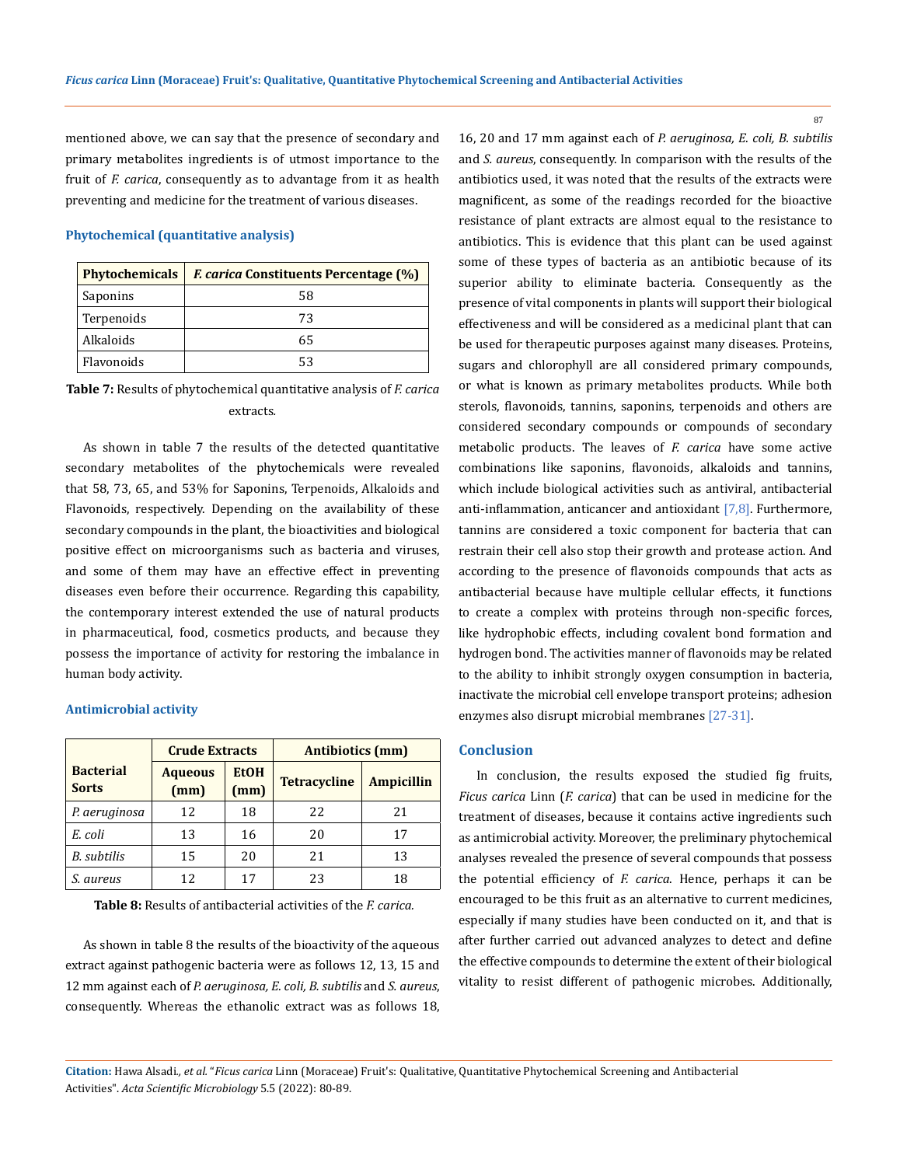mentioned above, we can say that the presence of secondary and primary metabolites ingredients is of utmost importance to the fruit of *F. carica*, consequently as to advantage from it as health preventing and medicine for the treatment of various diseases.

#### **Phytochemical (quantitative analysis)**

|                   | Phytochemicals   E carica Constituents Percentage (%) |
|-------------------|-------------------------------------------------------|
| Saponins          | 58                                                    |
| Terpenoids        | 73                                                    |
| Alkaloids         | 65                                                    |
| <b>Flavonoids</b> | 53                                                    |

**Table 7:** Results of phytochemical quantitative analysis of *F. carica*  extracts*.*

As shown in table 7 the results of the detected quantitative secondary metabolites of the phytochemicals were revealed that 58, 73, 65, and 53% for Saponins, Terpenoids, Alkaloids and Flavonoids, respectively. Depending on the availability of these secondary compounds in the plant, the bioactivities and biological positive effect on microorganisms such as bacteria and viruses, and some of them may have an effective effect in preventing diseases even before their occurrence. Regarding this capability, the contemporary interest extended the use of natural products in pharmaceutical, food, cosmetics products, and because they possess the importance of activity for restoring the imbalance in human body activity.

### **Antimicrobial activity**

|                                  | <b>Crude Extracts</b>  |                     | <b>Antibiotics</b> (mm) |                   |
|----------------------------------|------------------------|---------------------|-------------------------|-------------------|
| <b>Bacterial</b><br><b>Sorts</b> | <b>Aqueous</b><br>(mm) | <b>EtOH</b><br>(mm) | <b>Tetracycline</b>     | <b>Ampicillin</b> |
| P. aeruginosa                    | 12                     | 18                  | 22                      | 21                |
| E. coli                          | 13                     | 16                  | 20                      | 17                |
| <b>B.</b> subtilis               | 15                     | 20                  | 21                      | 13                |
| S. aureus                        | 12                     | 17                  | 23                      | 18                |

**Table 8:** Results of antibacterial activities of the *F. carica.*

As shown in table 8 the results of the bioactivity of the aqueous extract against pathogenic bacteria were as follows 12, 13, 15 and 12 mm against each of *P. aeruginosa, E. coli, B. subtilis* and *S. aureus*, consequently. Whereas the ethanolic extract was as follows 18, 16, 20 and 17 mm against each of *P. aeruginosa, E. coli, B. subtilis*  and *S. aureus*, consequently. In comparison with the results of the antibiotics used, it was noted that the results of the extracts were magnificent, as some of the readings recorded for the bioactive resistance of plant extracts are almost equal to the resistance to antibiotics. This is evidence that this plant can be used against some of these types of bacteria as an antibiotic because of its superior ability to eliminate bacteria. Consequently as the presence of vital components in plants will support their biological effectiveness and will be considered as a medicinal plant that can be used for therapeutic purposes against many diseases. Proteins, sugars and chlorophyll are all considered primary compounds, or what is known as primary metabolites products. While both sterols, flavonoids, tannins, saponins, terpenoids and others are considered secondary compounds or compounds of secondary metabolic products. The leaves of *F. carica* have some active combinations like saponins, flavonoids, alkaloids and tannins, which include biological activities such as antiviral, antibacterial anti-inflammation, anticancer and antioxidant  $[7,8]$ . Furthermore, tannins are considered a toxic component for bacteria that can restrain their cell also stop their growth and protease action. And according to the presence of flavonoids compounds that acts as antibacterial because have multiple cellular effects, it functions to create a complex with proteins through non-specific forces, like hydrophobic effects, including covalent bond formation and hydrogen bond. The activities manner of flavonoids may be related to the ability to inhibit strongly oxygen consumption in bacteria, inactivate the microbial cell envelope transport proteins; adhesion enzymes also disrupt microbial membranes [27-31].

### **Conclusion**

In conclusion, the results exposed the studied fig fruits, *Ficus carica* Linn (*F. carica*) that can be used in medicine for the treatment of diseases, because it contains active ingredients such as antimicrobial activity. Moreover, the preliminary phytochemical analyses revealed the presence of several compounds that possess the potential efficiency of *F. carica*. Hence, perhaps it can be encouraged to be this fruit as an alternative to current medicines, especially if many studies have been conducted on it, and that is after further carried out advanced analyzes to detect and define the effective compounds to determine the extent of their biological vitality to resist different of pathogenic microbes. Additionally,

**Citation:** Hawa Alsadi*., et al.* "*Ficus carica* Linn (Moraceae) Fruit's: Qualitative, Quantitative Phytochemical Screening and Antibacterial Activities". *Acta Scientific Microbiology* 5.5 (2022): 80-89.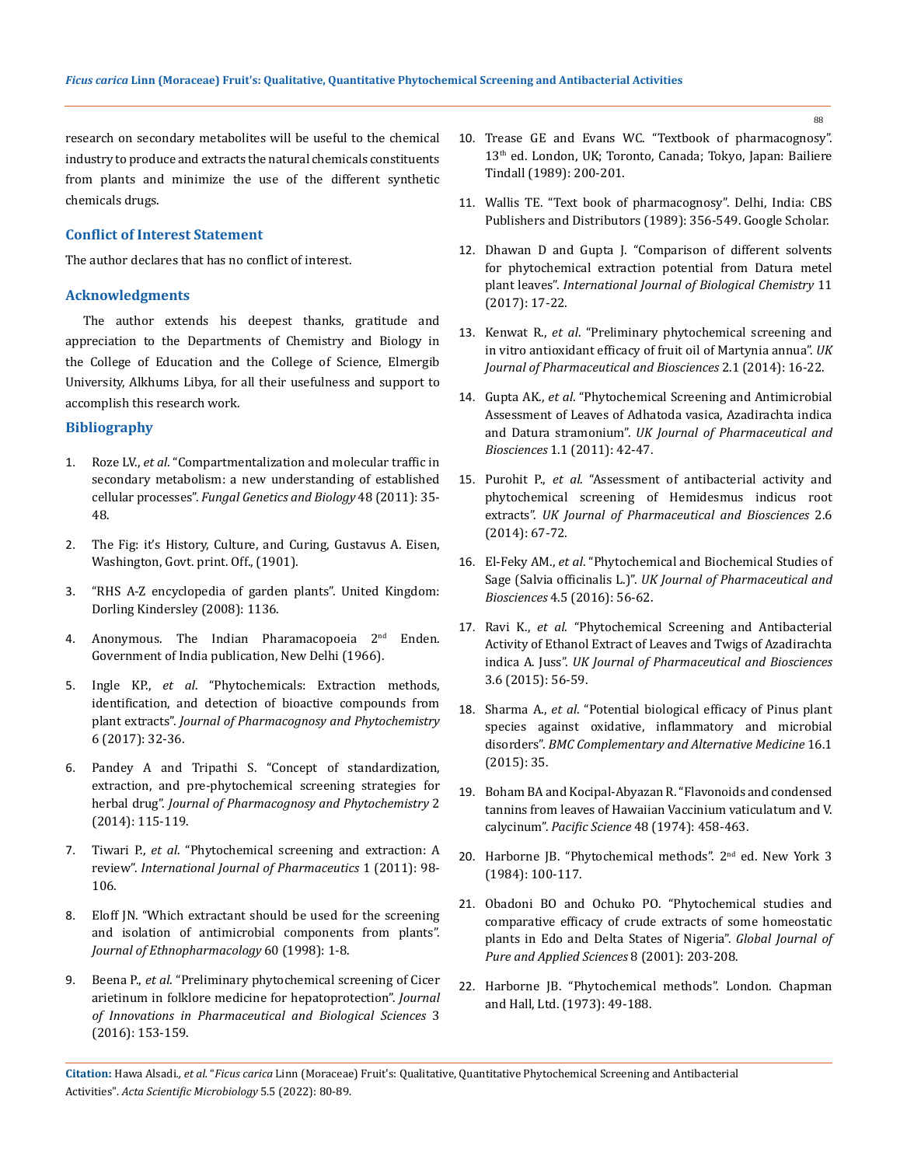research on secondary metabolites will be useful to the chemical industry to produce and extracts the natural chemicals constituents from plants and minimize the use of the different synthetic chemicals drugs.

## **Conflict of Interest Statement**

The author declares that has no conflict of interest.

### **Acknowledgments**

The author extends his deepest thanks, gratitude and appreciation to the Departments of Chemistry and Biology in the College of Education and the College of Science, Elmergib University, Alkhums Libya, for all their usefulness and support to accomplish this research work.

## **Bibliography**

- 1. Roze LV., *et al*[. "Compartmentalization and molecular traffic in](https://www.ncbi.nlm.nih.gov/pmc/articles/PMC2949687/)  [secondary metabolism: a new understanding of established](https://www.ncbi.nlm.nih.gov/pmc/articles/PMC2949687/)  cellular processes". *[Fungal Genetics and Biology](https://www.ncbi.nlm.nih.gov/pmc/articles/PMC2949687/)* 48 (2011): 35- [48.](https://www.ncbi.nlm.nih.gov/pmc/articles/PMC2949687/)
- 2. The Fig: it's History, Culture, and Curing, Gustavus A. Eisen, Washington, Govt. print. Off., (1901).
- 3. "RHS A-Z encyclopedia of garden plants". United Kingdom: Dorling Kindersley (2008): 1136.
- 4. Anonymous. The Indian Pharamacopoeia 2<sup>nd</sup> Enden. Government of India publication, New Delhi (1966).
- 5. Ingle KP., *et al*[. "Phytochemicals: Extraction methods,](https://www.ncbi.nlm.nih.gov/pmc/articles/PMC5750618/)  [identification, and detection of bioactive compounds from](https://www.ncbi.nlm.nih.gov/pmc/articles/PMC5750618/)  plant extracts". *[Journal of Pharmacognosy and Phytochemistry](https://www.ncbi.nlm.nih.gov/pmc/articles/PMC5750618/)*  [6 \(2017\): 32-36.](https://www.ncbi.nlm.nih.gov/pmc/articles/PMC5750618/)
- 6. [Pandey A and Tripathi S. "Concept of standardization,](https://www.phytojournal.com/vol2Issue5/Issue_jan_2014/11.pdf)  [extraction, and pre-phytochemical screening strategies for](https://www.phytojournal.com/vol2Issue5/Issue_jan_2014/11.pdf)  herbal drug". *[Journal of Pharmacognosy and Phytochemistry](https://www.phytojournal.com/vol2Issue5/Issue_jan_2014/11.pdf)* 2 [\(2014\): 115-119.](https://www.phytojournal.com/vol2Issue5/Issue_jan_2014/11.pdf)
- 7. Tiwari P., *et al*[. "Phytochemical screening and extraction: A](https://www.semanticscholar.org/paper/Phytochemical-screening-and-Extraction%3A-A-Review-Tiwari-Kaur/979e9b8ddd64c0251740bd8ff2f65f3c9a1b3408)  review". *[International Journal of Pharmaceutics](https://www.semanticscholar.org/paper/Phytochemical-screening-and-Extraction%3A-A-Review-Tiwari-Kaur/979e9b8ddd64c0251740bd8ff2f65f3c9a1b3408)* 1 (2011): 98- [106.](https://www.semanticscholar.org/paper/Phytochemical-screening-and-Extraction%3A-A-Review-Tiwari-Kaur/979e9b8ddd64c0251740bd8ff2f65f3c9a1b3408)
- 8. Eloff JN. "Which extractant should be used for the screening and isolation of antimicrobial components from plants". *Journal of Ethnopharmacology* 60 (1998): 1-8.
- 9. Beena P., *et al*[. "Preliminary phytochemical screening of Cicer](http://www.jipbs.com/VolumeArticles/FullTextPDF/240_JIPBSV3I319.pdf)  [arietinum in folklore medicine for hepatoprotection".](http://www.jipbs.com/VolumeArticles/FullTextPDF/240_JIPBSV3I319.pdf) *Journal [of Innovations in Pharmaceutical and Biological Sciences](http://www.jipbs.com/VolumeArticles/FullTextPDF/240_JIPBSV3I319.pdf)* 3 [\(2016\): 153-159.](http://www.jipbs.com/VolumeArticles/FullTextPDF/240_JIPBSV3I319.pdf)
- 10. Trease GE and Evans WC. "Textbook of pharmacognosy". 13th ed. London, UK; Toronto, Canada; Tokyo, Japan: Bailiere Tindall (1989): 200-201.
- 11. Wallis TE. "Text book of pharmacognosy". Delhi, India: CBS Publishers and Distributors (1989): 356-549. Google Scholar.
- 12. [Dhawan D and Gupta J. "Comparison of different solvents](https://scialert.net/abstract/?doi=ijbc.2017.17.22)  [for phytochemical extraction potential from Datura metel](https://scialert.net/abstract/?doi=ijbc.2017.17.22)  plant leaves". *[International Journal of Biological Chemistry](https://scialert.net/abstract/?doi=ijbc.2017.17.22)* 11 [\(2017\): 17-22.](https://scialert.net/abstract/?doi=ijbc.2017.17.22)
- 13. Kenwat R., *et al*[. "Preliminary phytochemical screening and](https://www.researchgate.net/publication/277131341_Preliminary_Phytochemical_Screening_and_In_Vitro_Antioxidant_Efficacy_of_Fruit_Oil_of_Martynia_annua)  [in vitro antioxidant efficacy of fruit oil of Martynia annua".](https://www.researchgate.net/publication/277131341_Preliminary_Phytochemical_Screening_and_In_Vitro_Antioxidant_Efficacy_of_Fruit_Oil_of_Martynia_annua) *UK [Journal of Pharmaceutical and Biosciences](https://www.researchgate.net/publication/277131341_Preliminary_Phytochemical_Screening_and_In_Vitro_Antioxidant_Efficacy_of_Fruit_Oil_of_Martynia_annua)* 2.1 (2014): 16-22.
- 14. Gupta AK., *et al*[. "Phytochemical Screening and Antimicrobial](https://www.researchgate.net/publication/295246168_Phytochemical_Screening_and_Antimicrobial_Assessment_of_Leaves_of_Adhatoda_vasica_Azadirachta_indica_and_Datura_stramonium)  [Assessment of Leaves of Adhatoda vasica, Azadirachta indica](https://www.researchgate.net/publication/295246168_Phytochemical_Screening_and_Antimicrobial_Assessment_of_Leaves_of_Adhatoda_vasica_Azadirachta_indica_and_Datura_stramonium)  and Datura stramonium". *[UK Journal of Pharmaceutical and](https://www.researchgate.net/publication/295246168_Phytochemical_Screening_and_Antimicrobial_Assessment_of_Leaves_of_Adhatoda_vasica_Azadirachta_indica_and_Datura_stramonium)  Biosciences* [1.1 \(2011\): 42-47.](https://www.researchgate.net/publication/295246168_Phytochemical_Screening_and_Antimicrobial_Assessment_of_Leaves_of_Adhatoda_vasica_Azadirachta_indica_and_Datura_stramonium)
- 15. Purohit P., *et al*. "Assessment of antibacterial activity and phytochemical screening of Hemidesmus indicus root extracts". *UK Journal of Pharmaceutical and Biosciences* 2.6 (2014): 67-72.
- 16. El-Feky AM., *et al*[. "Phytochemical and Biochemical Studies of](https://www.researchgate.net/publication/309222750_Phytochemical_and_Biochemical_Studies_of_Sage_Salvia_officinalis_L)  Sage (Salvia officinalis L.)". *[UK Journal of Pharmaceutical and](https://www.researchgate.net/publication/309222750_Phytochemical_and_Biochemical_Studies_of_Sage_Salvia_officinalis_L)  Biosciences* [4.5 \(2016\): 56-62.](https://www.researchgate.net/publication/309222750_Phytochemical_and_Biochemical_Studies_of_Sage_Salvia_officinalis_L)
- 17. Ravi K., *et al*[. "Phytochemical Screening and Antibacterial](https://www.researchgate.net/publication/325961167_Phytochemical_Screening_and_Antibacterial_Activity_of_Ethanol_Extract_of_Leaves_and_Twigs_of_Azadirachta_indica_A_Juss)  [Activity of Ethanol Extract of Leaves and Twigs of Azadirachta](https://www.researchgate.net/publication/325961167_Phytochemical_Screening_and_Antibacterial_Activity_of_Ethanol_Extract_of_Leaves_and_Twigs_of_Azadirachta_indica_A_Juss)  indica A. Juss". *[UK Journal of Pharmaceutical and Biosciences](https://www.researchgate.net/publication/325961167_Phytochemical_Screening_and_Antibacterial_Activity_of_Ethanol_Extract_of_Leaves_and_Twigs_of_Azadirachta_indica_A_Juss)* [3.6 \(2015\): 56-59.](https://www.researchgate.net/publication/325961167_Phytochemical_Screening_and_Antibacterial_Activity_of_Ethanol_Extract_of_Leaves_and_Twigs_of_Azadirachta_indica_A_Juss)
- 18. Sharma A., *et al*. "Potential biological efficacy of Pinus plant species against oxidative, inflammatory and microbial disorders". *BMC Complementary and Alternative Medicine* 16.1 (2015): 35.
- 19. Boham BA and Kocipal-Abyazan R. "Flavonoids and condensed tannins from leaves of Hawaiian Vaccinium vaticulatum and V. calycinum". *Pacific Science* 48 (1974): 458-463.
- 20. Harborne JB. "Phytochemical methods". 2nd ed. New York 3 (1984): 100-117.
- 21. [Obadoni BO and Ochuko PO. "Phytochemical studies and](http://dx.doi.org/10.4314/gjpas.v8i2.16033)  [comparative efficacy of crude extracts of some homeostatic](http://dx.doi.org/10.4314/gjpas.v8i2.16033)  [plants in Edo and Delta States of Nigeria".](http://dx.doi.org/10.4314/gjpas.v8i2.16033) *Global Journal of [Pure and Applied Sciences](http://dx.doi.org/10.4314/gjpas.v8i2.16033)* 8 (2001): 203-208.
- 22. Harborne JB. "Phytochemical methods". London. Chapman and Hall, Ltd. (1973): 49-188.

**Citation:** Hawa Alsadi*., et al.* "*Ficus carica* Linn (Moraceae) Fruit's: Qualitative, Quantitative Phytochemical Screening and Antibacterial Activities". *Acta Scientific Microbiology* 5.5 (2022): 80-89.